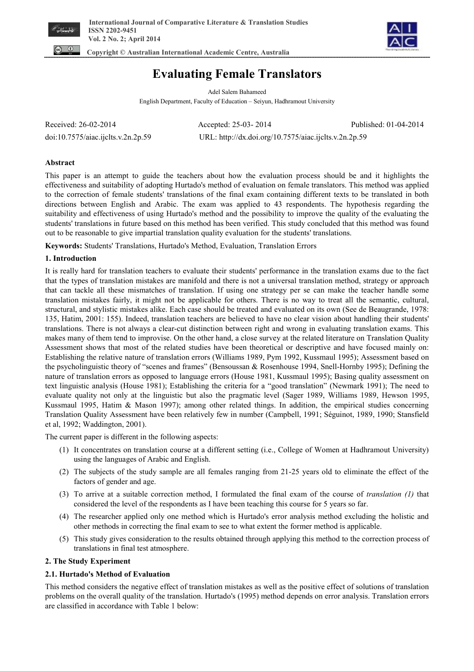



 **Copyright © Australian International Academic Centre, Australia** 

# **Evaluating Female Translators**

Adel Salem Bahameed English Department, Faculty of Education – Seiyun, Hadhramout University

| Received: 26-02-2014               | Accepted: 25-03-2014                                  | Published: 01-04-2014 |
|------------------------------------|-------------------------------------------------------|-----------------------|
| doi:10.7575/aiac.ijclts.v.2n.2p.59 | URL: http://dx.doi.org/10.7575/aiac.ijclts.v.2n.2p.59 |                       |

# **Abstract**

This paper is an attempt to guide the teachers about how the evaluation process should be and it highlights the effectiveness and suitability of adopting Hurtado's method of evaluation on female translators. This method was applied to the correction of female students' translations of the final exam containing different texts to be translated in both directions between English and Arabic. The exam was applied to 43 respondents. The hypothesis regarding the suitability and effectiveness of using Hurtado's method and the possibility to improve the quality of the evaluating the students' translations in future based on this method has been verified. This study concluded that this method was found out to be reasonable to give impartial translation quality evaluation for the students' translations.

**Keywords:** Students' Translations, Hurtado's Method, Evaluation, Translation Errors

## **1. Introduction**

It is really hard for translation teachers to evaluate their students' performance in the translation exams due to the fact that the types of translation mistakes are manifold and there is not a universal translation method, strategy or approach that can tackle all these mismatches of translation. If using one strategy per se can make the teacher handle some translation mistakes fairly, it might not be applicable for others. There is no way to treat all the semantic, cultural, structural, and stylistic mistakes alike. Each case should be treated and evaluated on its own (See de Beaugrande, 1978: 135, Hatim, 2001: 155). Indeed, translation teachers are believed to have no clear vision about handling their students' translations. There is not always a clear-cut distinction between right and wrong in evaluating translation exams. This makes many of them tend to improvise. On the other hand, a close survey at the related literature on Translation Quality Assessment shows that most of the related studies have been theoretical or descriptive and have focused mainly on: Establishing the relative nature of translation errors (Williams 1989, Pym 1992, Kussmaul 1995); Assessment based on the psycholinguistic theory of "scenes and frames" (Bensoussan & Rosenhouse 1994, Snell-Hornby 1995); Defining the nature of translation errors as opposed to language errors (House 1981, Kussmaul 1995); Basing quality assessment on text linguistic analysis (House 1981); Establishing the criteria for a "good translation" (Newmark 1991); The need to evaluate quality not only at the linguistic but also the pragmatic level (Sager 1989, Williams 1989, Hewson 1995, Kussmaul 1995, Hatim & Mason 1997); among other related things. In addition, the empirical studies concerning Translation Quality Assessment have been relatively few in number (Campbell, 1991; Séguinot, 1989, 1990; Stansfield et al, 1992; Waddington, 2001).

The current paper is different in the following aspects:

- (1) It concentrates on translation course at a different setting (i.e., College of Women at Hadhramout University) using the languages of Arabic and English.
- (2) The subjects of the study sample are all females ranging from 21-25 years old to eliminate the effect of the factors of gender and age.
- (3) To arrive at a suitable correction method, I formulated the final exam of the course of *translation (1)* that considered the level of the respondents as I have been teaching this course for 5 years so far.
- (4) The researcher applied only one method which is Hurtado's error analysis method excluding the holistic and other methods in correcting the final exam to see to what extent the former method is applicable.
- (5) This study gives consideration to the results obtained through applying this method to the correction process of translations in final test atmosphere.

# **2. The Study Experiment**

# **2.1. Hurtado's Method of Evaluation**

This method considers the negative effect of translation mistakes as well as the positive effect of solutions of translation problems on the overall quality of the translation. Hurtado's (1995) method depends on error analysis. Translation errors are classified in accordance with Table 1 below: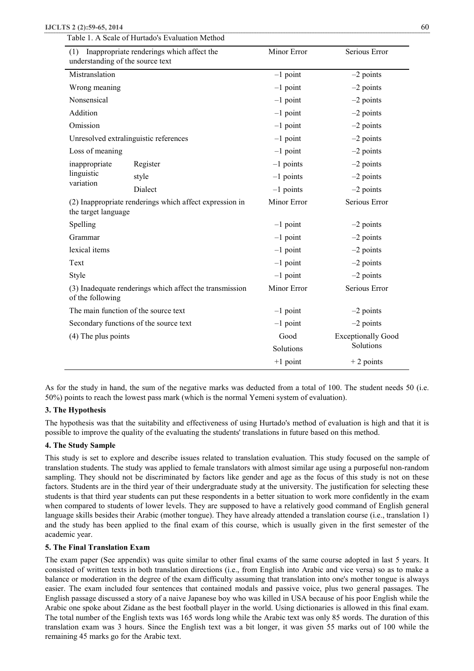| (1)<br>understanding of the source text                                     | Inappropriate renderings which affect the               | Minor Error       | Serious Error                          |  |
|-----------------------------------------------------------------------------|---------------------------------------------------------|-------------------|----------------------------------------|--|
| Mistranslation                                                              |                                                         | $-1$ point        | $-2$ points                            |  |
| Wrong meaning                                                               |                                                         | $-1$ point        | $-2$ points                            |  |
| Nonsensical                                                                 |                                                         | $-1$ point        | $-2$ points                            |  |
| Addition                                                                    |                                                         | $-1$ point        | $-2$ points                            |  |
| Omission                                                                    |                                                         | $-1$ point        | $-2$ points                            |  |
|                                                                             | Unresolved extralinguistic references                   | $-1$ point        | $-2$ points                            |  |
| Loss of meaning                                                             |                                                         | $-1$ point        | $-2$ points                            |  |
| inappropriate                                                               | Register                                                | $-1$ points       | $-2$ points                            |  |
| linguistic                                                                  | style                                                   | $-1$ points       | $-2$ points                            |  |
| variation                                                                   | Dialect                                                 | $-1$ points       | $-2$ points                            |  |
| the target language                                                         | (2) Inappropriate renderings which affect expression in | Minor Error       | Serious Error                          |  |
| Spelling                                                                    |                                                         | $-1$ point        | $-2$ points                            |  |
| Grammar                                                                     |                                                         | $-1$ point        | $-2$ points                            |  |
| lexical items                                                               |                                                         | $-1$ point        | $-2$ points                            |  |
| Text                                                                        |                                                         | $-1$ point        | $-2$ points                            |  |
| Style                                                                       |                                                         | $-1$ point        | $-2$ points                            |  |
| (3) Inadequate renderings which affect the transmission<br>of the following |                                                         | Minor Error       | Serious Error                          |  |
|                                                                             | The main function of the source text                    | $-1$ point        | $-2$ points                            |  |
|                                                                             | Secondary functions of the source text                  | $-1$ point        | $-2$ points                            |  |
| $(4)$ The plus points                                                       |                                                         | Good<br>Solutions | <b>Exceptionally Good</b><br>Solutions |  |
|                                                                             |                                                         | $+1$ point        | $+2$ points                            |  |

As for the study in hand, the sum of the negative marks was deducted from a total of 100. The student needs 50 (i.e. 50%) points to reach the lowest pass mark (which is the normal Yemeni system of evaluation).

# **3. The Hypothesis**

The hypothesis was that the suitability and effectiveness of using Hurtado's method of evaluation is high and that it is possible to improve the quality of the evaluating the students' translations in future based on this method.

# **4. The Study Sample**

This study is set to explore and describe issues related to translation evaluation. This study focused on the sample of translation students. The study was applied to female translators with almost similar age using a purposeful non-random sampling. They should not be discriminated by factors like gender and age as the focus of this study is not on these factors. Students are in the third year of their undergraduate study at the university. The justification for selecting these students is that third year students can put these respondents in a better situation to work more confidently in the exam when compared to students of lower levels. They are supposed to have a relatively good command of English general language skills besides their Arabic (mother tongue). They have already attended a translation course (i.e., translation 1) and the study has been applied to the final exam of this course, which is usually given in the first semester of the academic year.

## **5. The Final Translation Exam**

The exam paper (See appendix) was quite similar to other final exams of the same course adopted in last 5 years. It consisted of written texts in both translation directions (i.e., from English into Arabic and vice versa) so as to make a balance or moderation in the degree of the exam difficulty assuming that translation into one's mother tongue is always easier. The exam included four sentences that contained modals and passive voice, plus two general passages. The English passage discussed a story of a naive Japanese boy who was killed in USA because of his poor English while the Arabic one spoke about Zidane as the best football player in the world. Using dictionaries is allowed in this final exam. The total number of the English texts was 165 words long while the Arabic text was only 85 words. The duration of this translation exam was 3 hours. Since the English text was a bit longer, it was given 55 marks out of 100 while the remaining 45 marks go for the Arabic text.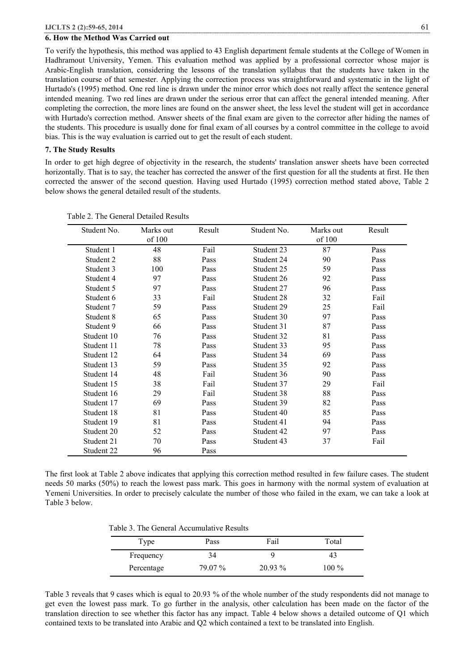## **6. How the Method Was Carried out**

To verify the hypothesis, this method was applied to 43 English department female students at the College of Women in Hadhramout University, Yemen. This evaluation method was applied by a professional corrector whose major is Arabic-English translation, considering the lessons of the translation syllabus that the students have taken in the translation course of that semester. Applying the correction process was straightforward and systematic in the light of Hurtado's (1995) method. One red line is drawn under the minor error which does not really affect the sentence general intended meaning. Two red lines are drawn under the serious error that can affect the general intended meaning. After completing the correction, the more lines are found on the answer sheet, the less level the student will get in accordance with Hurtado's correction method. Answer sheets of the final exam are given to the corrector after hiding the names of the students. This procedure is usually done for final exam of all courses by a control committee in the college to avoid bias. This is the way evaluation is carried out to get the result of each student.

#### **7. The Study Results**

In order to get high degree of objectivity in the research, the students' translation answer sheets have been corrected horizontally. That is to say, the teacher has corrected the answer of the first question for all the students at first. He then corrected the answer of the second question. Having used Hurtado (1995) correction method stated above, Table 2 below shows the general detailed result of the students.

| Student No. | Marks out | Result | Student No. | Marks out | Result |
|-------------|-----------|--------|-------------|-----------|--------|
|             | of 100    |        |             | of 100    |        |
| Student 1   | 48        | Fail   | Student 23  | 87        | Pass   |
| Student 2   | 88        | Pass   | Student 24  | 90        | Pass   |
| Student 3   | 100       | Pass   | Student 25  | 59        | Pass   |
| Student 4   | 97        | Pass   | Student 26  | 92        | Pass   |
| Student 5   | 97        | Pass   | Student 27  | 96        | Pass   |
| Student 6   | 33        | Fail   | Student 28  | 32        | Fail   |
| Student 7   | 59        | Pass   | Student 29  | 25        | Fail   |
| Student 8   | 65        | Pass   | Student 30  | 97        | Pass   |
| Student 9   | 66        | Pass   | Student 31  | 87        | Pass   |
| Student 10  | 76        | Pass   | Student 32  | 81        | Pass   |
| Student 11  | 78        | Pass   | Student 33  | 95        | Pass   |
| Student 12  | 64        | Pass   | Student 34  | 69        | Pass   |
| Student 13  | 59        | Pass   | Student 35  | 92        | Pass   |
| Student 14  | 48        | Fail   | Student 36  | 90        | Pass   |
| Student 15  | 38        | Fail   | Student 37  | 29        | Fail   |
| Student 16  | 29        | Fail   | Student 38  | 88        | Pass   |
| Student 17  | 69        | Pass   | Student 39  | 82        | Pass   |
| Student 18  | 81        | Pass   | Student 40  | 85        | Pass   |
| Student 19  | 81        | Pass   | Student 41  | 94        | Pass   |
| Student 20  | 52        | Pass   | Student 42  | 97        | Pass   |
| Student 21  | 70        | Pass   | Student 43  | 37        | Fail   |
| Student 22  | 96        | Pass   |             |           |        |

Table 2. The General Detailed Results

The first look at Table 2 above indicates that applying this correction method resulted in few failure cases. The student needs 50 marks (50%) to reach the lowest pass mark. This goes in harmony with the normal system of evaluation at Yemeni Universities. In order to precisely calculate the number of those who failed in the exam, we can take a look at Table 3 below.

Table 3. The General Accumulative Results

| Type       | Pass    | Fail      | Total   |
|------------|---------|-----------|---------|
| Frequency  | 34      |           | 4.1     |
| Percentage | 79 07 % | $20.93\%$ | $100\%$ |

Table 3 reveals that 9 cases which is equal to 20.93 % of the whole number of the study respondents did not manage to get even the lowest pass mark. To go further in the analysis, other calculation has been made on the factor of the translation direction to see whether this factor has any impact. Table 4 below shows a detailed outcome of Q1 which contained texts to be translated into Arabic and Q2 which contained a text to be translated into English.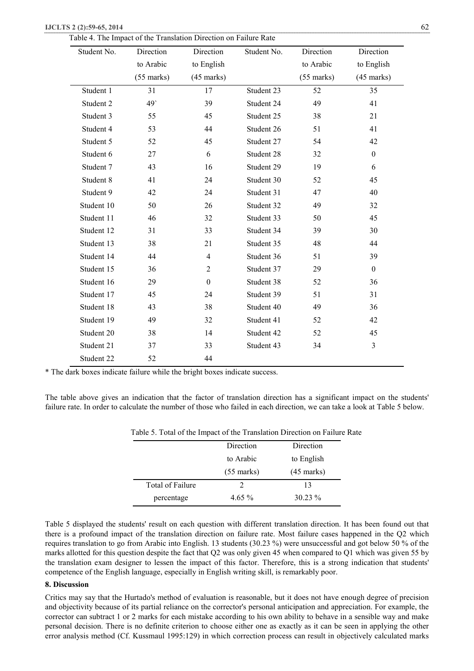| <b>IJCLTS 2 (2):59-65, 2014</b> |  |
|---------------------------------|--|
|---------------------------------|--|

|  | Table 4. The Impact of the Translation Direction on Failure Rate |
|--|------------------------------------------------------------------|
|--|------------------------------------------------------------------|

| Student No. | Direction    | Direction        | Student No. | Direction    | Direction        |
|-------------|--------------|------------------|-------------|--------------|------------------|
|             | to Arabic    | to English       |             | to Arabic    | to English       |
|             | $(55$ marks) | $(45$ marks)     |             | $(55$ marks) | $(45$ marks)     |
| Student 1   | 31           | 17               | Student 23  | 52           | 35               |
| Student 2   | 49           | 39               | Student 24  | 49           | 41               |
| Student 3   | 55           | 45               | Student 25  | 38           | 21               |
| Student 4   | 53           | 44               | Student 26  | 51           | 41               |
| Student 5   | 52           | 45               | Student 27  | 54           | 42               |
| Student 6   | 27           | 6                | Student 28  | 32           | $\mathbf{0}$     |
| Student 7   | 43           | 16               | Student 29  | 19           | 6                |
| Student 8   | 41           | 24               | Student 30  | 52           | 45               |
| Student 9   | 42           | 24               | Student 31  | 47           | 40               |
| Student 10  | 50           | 26               | Student 32  | 49           | 32               |
| Student 11  | 46           | 32               | Student 33  | 50           | 45               |
| Student 12  | 31           | 33               | Student 34  | 39           | 30               |
| Student 13  | 38           | 21               | Student 35  | 48           | 44               |
| Student 14  | 44           | $\overline{4}$   | Student 36  | 51           | 39               |
| Student 15  | 36           | $\overline{2}$   | Student 37  | 29           | $\boldsymbol{0}$ |
| Student 16  | 29           | $\boldsymbol{0}$ | Student 38  | 52           | 36               |
| Student 17  | 45           | 24               | Student 39  | 51           | 31               |
| Student 18  | 43           | 38               | Student 40  | 49           | 36               |
| Student 19  | 49           | 32               | Student 41  | 52           | 42               |
| Student 20  | 38           | 14               | Student 42  | 52           | 45               |
| Student 21  | 37           | 33               | Student 43  | 34           | $\overline{3}$   |
| Student 22  | 52           | 44               |             |              |                  |

\* The dark boxes indicate failure while the bright boxes indicate success.

The table above gives an indication that the factor of translation direction has a significant impact on the students' failure rate. In order to calculate the number of those who failed in each direction, we can take a look at Table 5 below.

| Table 5. Total of the hilpact of the Translation Direction on Famale |              |                      |
|----------------------------------------------------------------------|--------------|----------------------|
|                                                                      | Direction    | Direction            |
|                                                                      | to Arabic    | to English           |
|                                                                      | $(55$ marks) | $(45 \text{ marks})$ |
| Total of Failure                                                     |              | 13                   |
| percentage                                                           | $4.65\%$     | $30.23 \%$           |

Table 5. Total of the Impact of the Translation Direction on Failure Rate

Table 5 displayed the students' result on each question with different translation direction. It has been found out that there is a profound impact of the translation direction on failure rate. Most failure cases happened in the Q2 which requires translation to go from Arabic into English. 13 students (30.23 %) were unsuccessful and got below 50 % of the marks allotted for this question despite the fact that Q2 was only given 45 when compared to Q1 which was given 55 by the translation exam designer to lessen the impact of this factor. Therefore, this is a strong indication that students' competence of the English language, especially in English writing skill, is remarkably poor.

#### **8. Discussion**

Critics may say that the Hurtado's method of evaluation is reasonable, but it does not have enough degree of precision and objectivity because of its partial reliance on the corrector's personal anticipation and appreciation. For example, the corrector can subtract 1 or 2 marks for each mistake according to his own ability to behave in a sensible way and make personal decision. There is no definite criterion to choose either one as exactly as it can be seen in applying the other error analysis method (Cf. Kussmaul 1995:129) in which correction process can result in objectively calculated marks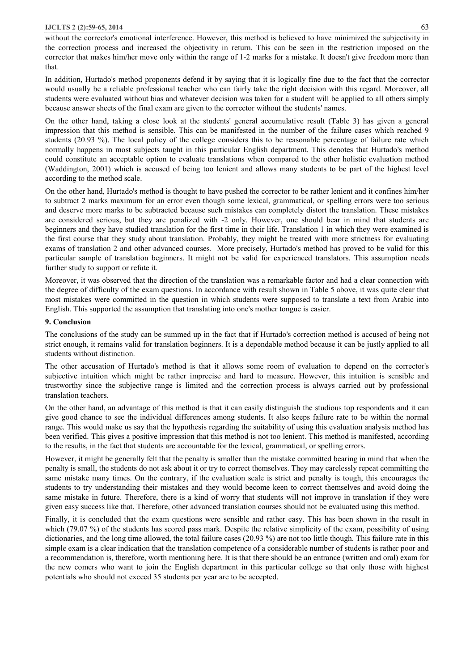without the corrector's emotional interference. However, this method is believed to have minimized the subjectivity in the correction process and increased the objectivity in return. This can be seen in the restriction imposed on the corrector that makes him/her move only within the range of 1-2 marks for a mistake. It doesn't give freedom more than that.

In addition, Hurtado's method proponents defend it by saying that it is logically fine due to the fact that the corrector would usually be a reliable professional teacher who can fairly take the right decision with this regard. Moreover, all students were evaluated without bias and whatever decision was taken for a student will be applied to all others simply because answer sheets of the final exam are given to the corrector without the students' names.

On the other hand, taking a close look at the students' general accumulative result (Table 3) has given a general impression that this method is sensible. This can be manifested in the number of the failure cases which reached 9 students (20.93 %). The local policy of the college considers this to be reasonable percentage of failure rate which normally happens in most subjects taught in this particular English department. This denotes that Hurtado's method could constitute an acceptable option to evaluate translations when compared to the other holistic evaluation method (Waddington, 2001) which is accused of being too lenient and allows many students to be part of the highest level according to the method scale.

On the other hand, Hurtado's method is thought to have pushed the corrector to be rather lenient and it confines him/her to subtract 2 marks maximum for an error even though some lexical, grammatical, or spelling errors were too serious and deserve more marks to be subtracted because such mistakes can completely distort the translation. These mistakes are considered serious, but they are penalized with -2 only. However, one should bear in mind that students are beginners and they have studied translation for the first time in their life. Translation 1 in which they were examined is the first course that they study about translation. Probably, they might be treated with more strictness for evaluating exams of translation 2 and other advanced courses. More precisely, Hurtado's method has proved to be valid for this particular sample of translation beginners. It might not be valid for experienced translators. This assumption needs further study to support or refute it.

Moreover, it was observed that the direction of the translation was a remarkable factor and had a clear connection with the degree of difficulty of the exam questions. In accordance with result shown in Table 5 above, it was quite clear that most mistakes were committed in the question in which students were supposed to translate a text from Arabic into English. This supported the assumption that translating into one's mother tongue is easier.

# **9. Conclusion**

The conclusions of the study can be summed up in the fact that if Hurtado's correction method is accused of being not strict enough, it remains valid for translation beginners. It is a dependable method because it can be justly applied to all students without distinction.

The other accusation of Hurtado's method is that it allows some room of evaluation to depend on the corrector's subjective intuition which might be rather imprecise and hard to measure. However, this intuition is sensible and trustworthy since the subjective range is limited and the correction process is always carried out by professional translation teachers.

On the other hand, an advantage of this method is that it can easily distinguish the studious top respondents and it can give good chance to see the individual differences among students. It also keeps failure rate to be within the normal range. This would make us say that the hypothesis regarding the suitability of using this evaluation analysis method has been verified. This gives a positive impression that this method is not too lenient. This method is manifested, according to the results, in the fact that students are accountable for the lexical, grammatical, or spelling errors.

However, it might be generally felt that the penalty is smaller than the mistake committed bearing in mind that when the penalty is small, the students do not ask about it or try to correct themselves. They may carelessly repeat committing the same mistake many times. On the contrary, if the evaluation scale is strict and penalty is tough, this encourages the students to try understanding their mistakes and they would become keen to correct themselves and avoid doing the same mistake in future. Therefore, there is a kind of worry that students will not improve in translation if they were given easy success like that. Therefore, other advanced translation courses should not be evaluated using this method.

Finally, it is concluded that the exam questions were sensible and rather easy. This has been shown in the result in which (79.07 %) of the students has scored pass mark. Despite the relative simplicity of the exam, possibility of using dictionaries, and the long time allowed, the total failure cases (20.93 %) are not too little though. This failure rate in this simple exam is a clear indication that the translation competence of a considerable number of students is rather poor and a recommendation is, therefore, worth mentioning here. It is that there should be an entrance (written and oral) exam for the new comers who want to join the English department in this particular college so that only those with highest potentials who should not exceed 35 students per year are to be accepted.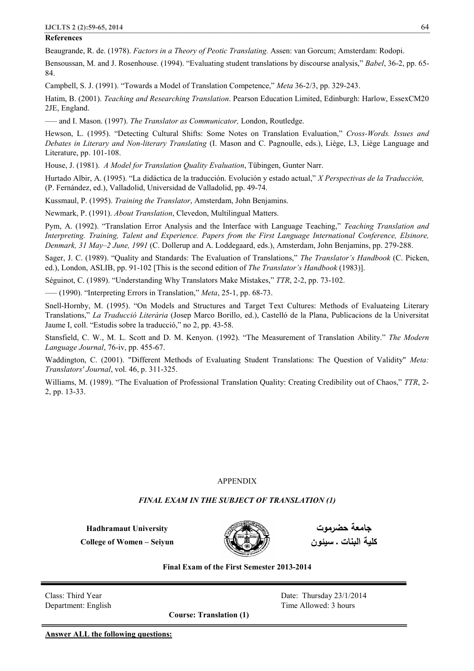## **References**

Beaugrande, R. de. (1978). *Factors in a Theory of Peotic Translating.* Assen: van Gorcum; Amsterdam: Rodopi.

Bensoussan, M. and J. Rosenhouse. (1994). "Evaluating student translations by discourse analysis," *Babel*, 36-2, pp. 65- 84.

Campbell, S. J. (1991). "Towards a Model of Translation Competence," *Meta* 36-2/3, pp. 329-243.

Hatim, B. (2001). *Teaching and Researching Translation*. Pearson Education Limited, Edinburgh: Harlow, EssexCM20 2JE, England.

—– and I. Mason. (1997). *The Translator as Communicator,* London, Routledge.

Hewson, L. (1995). "Detecting Cultural Shifts: Some Notes on Translation Evaluation," *Cross-Words. Issues and Debates in Literary and Non-literary Translating* (I. Mason and C. Pagnoulle, eds.), Liège, L3, Liège Language and Literature, pp. 101-108.

House, J. (1981). *A Model for Translation Quality Evaluation*, Tübingen, Gunter Narr.

Hurtado Albir, A. (1995). "La didáctica de la traducción. Evolución y estado actual," *X Perspectivas de la Traducción,*  (P. Fernández, ed.), Valladolid, Universidad de Valladolid, pp. 49-74.

Kussmaul, P. (1995). *Training the Translator*, Amsterdam, John Benjamins.

Newmark, P. (1991). *About Translation*, Clevedon, Multilingual Matters.

Pym, A. (1992). "Translation Error Analysis and the Interface with Language Teaching," *Teaching Translation and Interpreting. Training, Talent and Experience. Papers from the First Language International Conference, Elsinore, Denmark, 31 May–2 June, 1991* (C. Dollerup and A. Loddegaard, eds.), Amsterdam, John Benjamins, pp. 279-288.

Sager, J. C. (1989). "Quality and Standards: The Evaluation of Translations," *The Translator's Handbook* (C. Picken, ed.), London, ASLIB, pp. 91-102 [This is the second edition of *The Translator's Handbook* (1983)].

Séguinot, C. (1989). "Understanding Why Translators Make Mistakes," *TTR*, 2-2, pp. 73-102.

—– (1990). "Interpreting Errors in Translation," *Meta*, 25-1, pp. 68-73.

Snell-Hornby, M. (1995). "On Models and Structures and Target Text Cultures: Methods of Evaluateing Literary Translations," *La Traducció Literària* (Josep Marco Borillo, ed.), Castelló de la Plana, Publicacions de la Universitat Jaume I, coll. "Estudis sobre la traducció," no 2, pp. 43-58.

Stansfield, C. W., M. L. Scott and D. M. Kenyon. (1992). "The Measurement of Translation Ability." *The Modern Language Journal*, 76-iv, pp. 455-67.

Waddington, C. (2001). "Different Methods of Evaluating Student Translations: The Question of Validity" *Meta: Translators' Journal*, vol. 46, p. 311-325.

Williams, M. (1989). "The Evaluation of Professional Translation Quality: Creating Credibility out of Chaos," *TTR*, 2- 2, pp. 13-33.

## APPENDIX

## *FINAL EXAM IN THE SUBJECT OF TRANSLATION (1)*

**Hadhramaut University College of Women – Seiyun** 



**جامعة حضرموت كلیة البنات ـ سیئون**

**Final Exam of the First Semester 2013-2014** 

Class: Third Year Date: Thursday 23/1/2014 Department: English Time Allowed: 3 hours

**Course: Translation (1)**